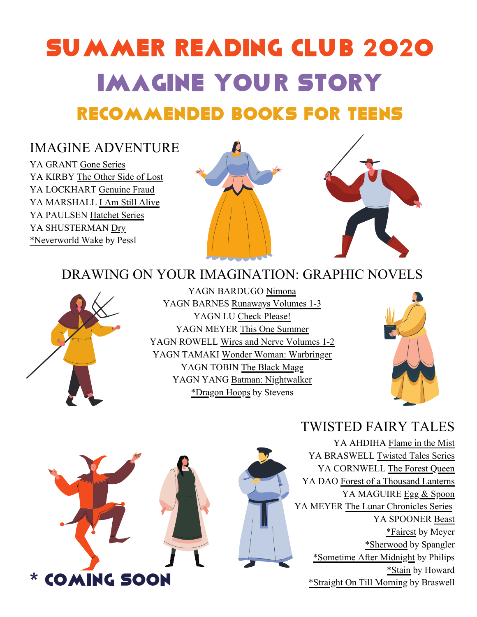# SUMMER READING CLUB 2020 IMAGINE YOUR STORY Recommended Books for TEENS

#### IMAGINE ADVENTURE

YA GRANT Gone Series YA KIRBY The Other Side of Lost YA LOCKHART Genuine Fraud YA MARSHALL I Am Still Alive YA PAULSEN Hatchet Series YA SHUSTERMAN Dry \*Neverworld Wake by Pessl



### DRAWING ON YOUR IMAGINATION: GRAPHIC NOVELS



YAGN BARDUGO Nimona YAGN BARNES Runaways Volumes 1-3 YAGN LU Check Please! YAGN MEYER This One Summer YAGN ROWELL Wires and Nerve Volumes 1-2 YAGN TAMAKI Wonder Woman: Warbringer YAGN TOBIN The Black Mage YAGN YANG Batman: Nightwalker \*Dragon Hoops by Stevens





### TWISTED FAIRY TALES

YA AHDIHA Flame in the Mist YA BRASWELL Twisted Tales Series YA CORNWELL The Forest Queen YA DAO Forest of a Thousand Lanterns YA MAGUIRE Egg & Spoon YA MEYER The Lunar Chronicles Series YA SPOONER Beast \*Fairest by Meyer \*Sherwood by Spangler \*Sometime After Midnight by Philips \*Stain by Howard